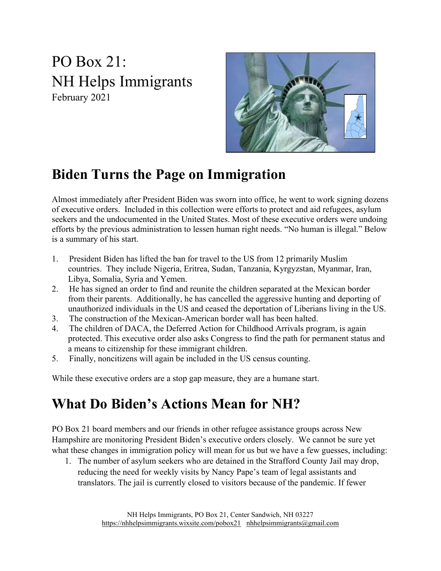PO Box 21: NH Helps Immigrants February 2021



#### **Biden Turns the Page on Immigration**

Almost immediately after President Biden was sworn into office, he went to work signing dozens of executive orders. Included in this collection were efforts to protect and aid refugees, asylum seekers and the undocumented in the United States. Most of these executive orders were undoing efforts by the previous administration to lessen human right needs. "No human is illegal." Below is a summary of his start.

- 1. President Biden has lifted the ban for travel to the US from 12 primarily Muslim countries. They include Nigeria, Eritrea, Sudan, Tanzania, Kyrgyzstan, Myanmar, Iran, Libya, Somalia, Syria and Yemen.
- 2. He has signed an order to find and reunite the children separated at the Mexican border from their parents. Additionally, he has cancelled the aggressive hunting and deporting of unauthorized individuals in the US and ceased the deportation of Liberians living in the US.
- 3. The construction of the Mexican-American border wall has been halted.
- 4. The children of DACA, the Deferred Action for Childhood Arrivals program, is again protected. This executive order also asks Congress to find the path for permanent status and a means to citizenship for these immigrant children.
- 5. Finally, noncitizens will again be included in the US census counting.

While these executive orders are a stop gap measure, they are a humane start.

#### **What Do Biden's Actions Mean for NH?**

PO Box 21 board members and our friends in other refugee assistance groups across New Hampshire are monitoring President Biden's executive orders closely. We cannot be sure yet what these changes in immigration policy will mean for us but we have a few guesses, including:

1. The number of asylum seekers who are detained in the Strafford County Jail may drop, reducing the need for weekly visits by Nancy Pape's team of legal assistants and translators. The jail is currently closed to visitors because of the pandemic. If fewer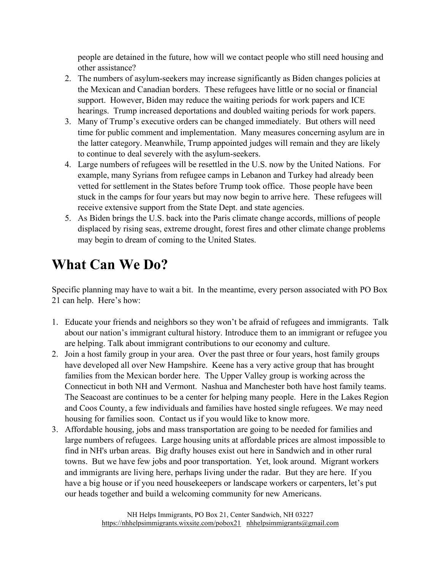people are detained in the future, how will we contact people who still need housing and other assistance?

- 2. The numbers of asylum-seekers may increase significantly as Biden changes policies at the Mexican and Canadian borders. These refugees have little or no social or financial support. However, Biden may reduce the waiting periods for work papers and ICE hearings. Trump increased deportations and doubled waiting periods for work papers.
- 3. Many of Trump's executive orders can be changed immediately. But others will need time for public comment and implementation. Many measures concerning asylum are in the latter category. Meanwhile, Trump appointed judges will remain and they are likely to continue to deal severely with the asylum-seekers.
- 4. Large numbers of refugees will be resettled in the U.S. now by the United Nations. For example, many Syrians from refugee camps in Lebanon and Turkey had already been vetted for settlement in the States before Trump took office. Those people have been stuck in the camps for four years but may now begin to arrive here. These refugees will receive extensive support from the State Dept. and state agencies.
- 5. As Biden brings the U.S. back into the Paris climate change accords, millions of people displaced by rising seas, extreme drought, forest fires and other climate change problems may begin to dream of coming to the United States.

### **What Can We Do?**

Specific planning may have to wait a bit. In the meantime, every person associated with PO Box 21 can help. Here's how:

- 1. Educate your friends and neighbors so they won't be afraid of refugees and immigrants. Talk about our nation's immigrant cultural history. Introduce them to an immigrant or refugee you are helping. Talk about immigrant contributions to our economy and culture.
- 2. Join a host family group in your area. Over the past three or four years, host family groups have developed all over New Hampshire. Keene has a very active group that has brought families from the Mexican border here. The Upper Valley group is working across the Connecticut in both NH and Vermont. Nashua and Manchester both have host family teams. The Seacoast are continues to be a center for helping many people. Here in the Lakes Region and Coos County, a few individuals and families have hosted single refugees. We may need housing for families soon. Contact us if you would like to know more.
- 3. Affordable housing, jobs and mass transportation are going to be needed for families and large numbers of refugees. Large housing units at affordable prices are almost impossible to find in NH's urban areas. Big drafty houses exist out here in Sandwich and in other rural towns. But we have few jobs and poor transportation. Yet, look around. Migrant workers and immigrants are living here, perhaps living under the radar. But they are here. If you have a big house or if you need housekeepers or landscape workers or carpenters, let's put our heads together and build a welcoming community for new Americans.